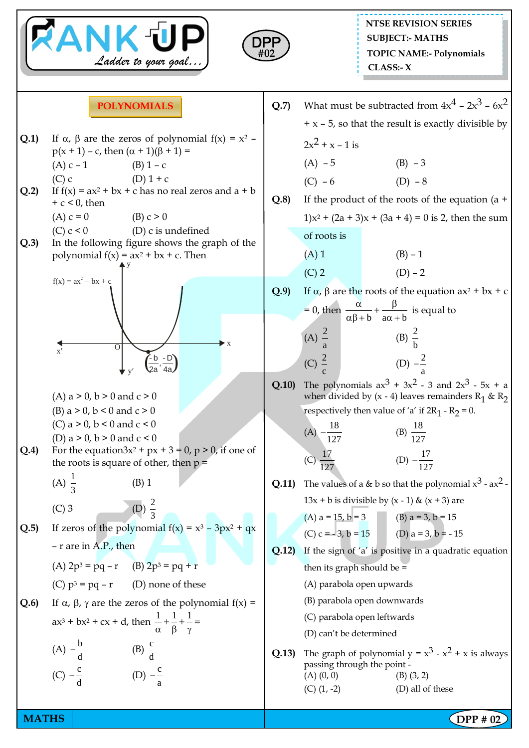



## **POLYNOMIALS**

- **Q.1)** If  $\alpha$ ,  $\beta$  are the zeros of polynomial  $f(x) = x^2$  $p(x + 1) - c$ , then  $(\alpha + 1)(\beta + 1) =$ (A)  $c - 1$  (B)  $1 - c$ (C) c  $(D) 1 + c$
- **Q.2)** If  $f(x) = ax^2 + bx + c$  has no real zeros and  $a + b$  $+ c < 0$ , then
	- (A)  $c = 0$  (B)  $c > 0$
	- (C)  $c < 0$  (D) c is undefined
- **Q.3)** In the following figure shows the graph of the polynomial  $f(x) = ax^2 + bx + c$ . Then



- (A)  $a > 0$ ,  $b > 0$  and  $c > 0$
- (B) a  $> 0$ , b  $< 0$  and c  $> 0$
- (C) a  $> 0$ , b  $< 0$  and c  $< 0$

(D) 
$$
a > 0
$$
,  $b > 0$  and  $c < 0$ 

- **Q.4)** For the equation3 $x^2 + px + 3 = 0$ ,  $p > 0$ , if one of the roots is square of other, then  $p =$ 
	- (A)  $\frac{1}{2}$ 3 (B) 1
	- $(C)$  3
- 3 **Q.5)** If zeros of the polynomial  $f(x) = x^3 - 3px^2 + qx$ 
	- r are in A.P., then

2

- (A)  $2p^3 = pq r$  (B)  $2p^3 = pq + r$
- (C)  $p^3 = pq r$  (D) none of these
- **Q.6)** If  $\alpha$ ,  $\beta$ ,  $\gamma$  are the zeros of the polynomial  $f(x) =$  $ax^3 + bx^2 + cx + d$ , then  $\frac{1}{a} + \frac{1}{b} + \frac{1}{c} =$  $\alpha$   $\beta$   $\gamma$

(A) 
$$
-\frac{b}{d}
$$
 \t\t (B)  $\frac{c}{d}$   
(C)  $-\frac{c}{d}$  \t\t (D)  $-\frac{c}{a}$ 

**Q.7)** What must be subtracted from  $4x^4 - 2x^3 - 6x^2$  $+ x - 5$ , so that the result is exactly divisible by  $2x^2 + x - 1$  is  $(A) - 5$  (B) – 3  $(C) - 6$  (D) – 8 **Q.8)** If the product of the roots of the equation (a +  $1)x^{2} + (2a + 3)x + (3a + 4) = 0$  is 2, then the sum of roots is  $(A) 1$  (B) – 1 (C) 2 (D) – 2 **Q.9**) If  $\alpha$ ,  $\beta$  are the roots of the equation  $ax^2 + bx + c$ = 0, then  $\frac{\alpha}{\alpha\beta + b} + \frac{p}{\alpha\alpha + b}$  $\frac{\alpha}{\alpha}$  +  $\frac{\beta}{\alpha}$  $\frac{\alpha}{\alpha\beta+b}+\frac{p}{a\alpha+b}$  is equal to

(A) 
$$
\frac{2}{a}
$$
 \t\t (B)  $\frac{2}{b}$    
 (C)  $\frac{2}{c}$  \t\t (D)  $-\frac{2}{a}$ 

**Q.10)** The polynomials  $ax^3 + 3x^2 - 3$  and  $2x^3 - 5x + a$ when divided by  $(x - 4)$  leaves remainders  $R_1 \& R_2$ respectively then value of 'a' if  $2R_1 - R_2 = 0$ .

(A) 
$$
-\frac{18}{127}
$$
 (B)  $\frac{18}{127}$   
(C)  $\frac{17}{127}$  (D)  $-\frac{17}{127}$ 

**Q.11)** The values of a & b so that the polynomial  $x^3 - ax^2$ .  $13x + b$  is divisible by  $(x - 1)$  &  $(x + 3)$  are

(A) a = 15, b = 3 (B) a = 3, b = 15 (C) c = - 3, b = 15 (D) a = 3, b = - 15

- **Q.12)** If the sign of 'a' is positive in a quadratic equation then its graph should be =
	- (A) parabola open upwards
	- (B) parabola open downwards
	- (C) parabola open leftwards
	- (D) can't be determined
- **Q.13)** The graph of polynomial  $y = x^3 x^2 + x$  is always passing through the point -  $(A) (0, 0)$  (B)  $(3, 2)$  $(C)$   $(1, -2)$   $(D)$  all of these

**MATHS** | **DPP #** 02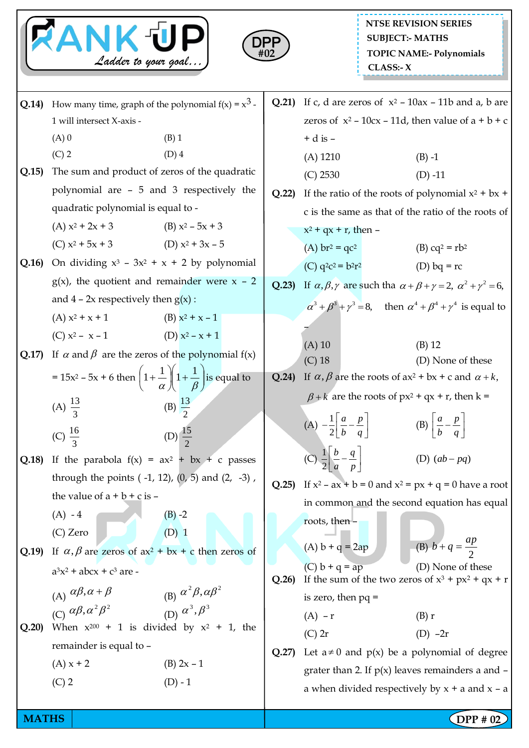|       | <b>ANK UP</b><br>Ladder to your goal                                                                |                                                                 | DPF<br>#02 |                                                                        | <b>SUBJECT:- MATHS</b><br>CLASS: X                                                | <b>NTSE REVISION SERIES</b><br><b>TOPIC NAME:- Polynomials</b>                                                   |  |
|-------|-----------------------------------------------------------------------------------------------------|-----------------------------------------------------------------|------------|------------------------------------------------------------------------|-----------------------------------------------------------------------------------|------------------------------------------------------------------------------------------------------------------|--|
| Q.14) | How many time, graph of the polynomial $f(x) = x^3$ .                                               |                                                                 |            |                                                                        |                                                                                   | Q.21) If c, d are zeros of $x^2$ – 10ax – 11b and a, b are                                                       |  |
|       | 1 will intersect X-axis -                                                                           |                                                                 |            | zeros of $x^2$ – 10cx – 11d, then value of $a + b + c$                 |                                                                                   |                                                                                                                  |  |
|       | $(A)$ 0                                                                                             | $(B)$ 1                                                         |            | $+$ d is $-$                                                           |                                                                                   |                                                                                                                  |  |
|       | $(C)$ 2                                                                                             | $(D)$ 4                                                         |            | $(A)$ 1210                                                             |                                                                                   | $(B) -1$                                                                                                         |  |
| Q.15  | The sum and product of zeros of the quadratic                                                       |                                                                 |            | (C) 2530                                                               |                                                                                   | $(D) -11$                                                                                                        |  |
|       | polynomial are - 5 and 3 respectively the                                                           |                                                                 |            | If the ratio of the roots of polynomial $x^2 + bx +$                   |                                                                                   |                                                                                                                  |  |
|       | quadratic polynomial is equal to -                                                                  |                                                                 |            |                                                                        |                                                                                   | c is the same as that of the ratio of the roots of                                                               |  |
|       | (A) $x^2 + 2x + 3$ (B) $x^2 - 5x + 3$                                                               |                                                                 |            | $x^2$ + qx + r, then –                                                 |                                                                                   |                                                                                                                  |  |
|       | (C) $x^2 + 5x + 3$ (D) $x^2 + 3x - 5$                                                               |                                                                 |            | (A) $br^2 = qc^2$                                                      |                                                                                   | (B) $cq^2 = rb^2$                                                                                                |  |
| Q.16  | On dividing $x^3$ - 3x <sup>2</sup> + x + 2 by polynomial                                           |                                                                 |            | (C) $q^2c^2 = b^2r^2$                                                  |                                                                                   | (D) bq = $rc$                                                                                                    |  |
|       | $g(x)$ , the quotient and remainder were $x - 2$                                                    |                                                                 |            |                                                                        |                                                                                   | <b>Q.23)</b> If $\alpha, \beta, \gamma$ are such tha $\alpha + \beta + \gamma = 2$ , $\alpha^2 + \gamma^2 = 6$ , |  |
|       | and $4 - 2x$ respectively then $g(x)$ :                                                             |                                                                 |            |                                                                        |                                                                                   | $\alpha^3 + \beta^3 + \gamma^3 = 8$ , then $\alpha^4 + \beta^4 + \gamma^4$ is equal to                           |  |
|       | $(A) x^2 + x + 1$                                                                                   | (B) $x^2 + x - 1$                                               |            |                                                                        |                                                                                   |                                                                                                                  |  |
|       | (C) $x^2 - x - 1$                                                                                   | (D) $x^2 - x + 1$                                               |            | $(A)$ 10                                                               |                                                                                   | $(B)$ 12                                                                                                         |  |
| Q.17) | If $\alpha$ and $\beta$ are the zeros of the polynomial $f(x)$                                      |                                                                 |            | $(C)$ 18                                                               |                                                                                   | (D) None of these                                                                                                |  |
|       | = $15x^2$ – 5x + 6 then $\left(1+\frac{1}{\alpha}\right)\left(1+\frac{1}{\beta}\right)$ is equal to |                                                                 | Q.24)      |                                                                        | If $\alpha$ , $\beta$ are the roots of ax <sup>2</sup> + bx + c and $\alpha$ + k, |                                                                                                                  |  |
|       | (B) $\frac{13}{2}$<br>(A) $\frac{13}{3}$                                                            |                                                                 |            |                                                                        | $\beta + k$ are the roots of px <sup>2</sup> + qx + r, then k =                   |                                                                                                                  |  |
|       |                                                                                                     |                                                                 |            | (A) $-\frac{1}{2} \left  \frac{a}{b} - \frac{p}{q} \right $            |                                                                                   | (B) $\left \frac{a}{b} - \frac{p}{q}\right $                                                                     |  |
|       | (C) $\frac{16}{3}$                                                                                  | (D) $\frac{15}{2}$                                              |            |                                                                        |                                                                                   |                                                                                                                  |  |
| Q.18  | If the parabola $f(x) = ax^2 + bx + c$ passes                                                       |                                                                 |            | (C) $\frac{1}{2} \left[ \frac{b}{a} - \frac{q}{p} \right]$             |                                                                                   | (D) $(ab-pq)$                                                                                                    |  |
|       | through the points $(-1, 12)$ , $(0, 5)$ and $(2, -3)$ ,                                            |                                                                 |            | <b>Q.25</b> ) If $x^2 - ax + b = 0$ and $x^2 = px + q = 0$ have a root |                                                                                   |                                                                                                                  |  |
|       | the value of $a + b + c$ is $-$                                                                     |                                                                 |            | in common and the second equation has equal                            |                                                                                   |                                                                                                                  |  |
|       | $(A) - 4$                                                                                           | $(B) -2$                                                        |            | roots, then -                                                          |                                                                                   |                                                                                                                  |  |
|       | $(C)$ Zero                                                                                          | $(D)$ 1                                                         |            | (A) $b + q = 2ap$                                                      |                                                                                   | (B) $b + q = \frac{ap}{2}$                                                                                       |  |
| Q.19  | If $\alpha$ , $\beta$ are zeros of ax <sup>2</sup> + bx + c then zeros of                           |                                                                 |            | (C) $b + q = ap$                                                       |                                                                                   | (D) None of these                                                                                                |  |
|       | $a^3x^2$ + abcx + $c^3$ are -                                                                       |                                                                 | Q.26       |                                                                        |                                                                                   | If the sum of the two zeros of $x^3 + px^2 + qx + r$                                                             |  |
|       | (A) $\alpha\beta, \alpha + \beta$<br>(C) $\alpha\beta, \alpha^2\beta^2$                             | (B) $\alpha^2 \beta, \alpha \beta^2$<br>(D) $\alpha^3, \beta^3$ |            | is zero, then $pq =$                                                   |                                                                                   |                                                                                                                  |  |
|       |                                                                                                     |                                                                 |            | $(A) - r$                                                              |                                                                                   | (B) r                                                                                                            |  |
| Q.20  | When $x^{200} + 1$ is divided by $x^2 + 1$ , the                                                    |                                                                 |            | $(C)$ 2r                                                               |                                                                                   | $(D) -2r$                                                                                                        |  |
|       | remainder is equal to -                                                                             |                                                                 |            |                                                                        | Let $a \neq 0$ and $p(x)$ be a polynomial of degree                               |                                                                                                                  |  |
|       | $(A) x + 2$                                                                                         | (B) $2x - 1$                                                    |            | grater than 2. If $p(x)$ leaves remainders a and $-\frac{1}{2}$        |                                                                                   |                                                                                                                  |  |
|       | $(C)$ 2                                                                                             | $(D) - 1$                                                       |            |                                                                        |                                                                                   | a when divided respectively by $x + a$ and $x - a$                                                               |  |
|       |                                                                                                     |                                                                 |            |                                                                        |                                                                                   |                                                                                                                  |  |

**MATHS** DPP # 02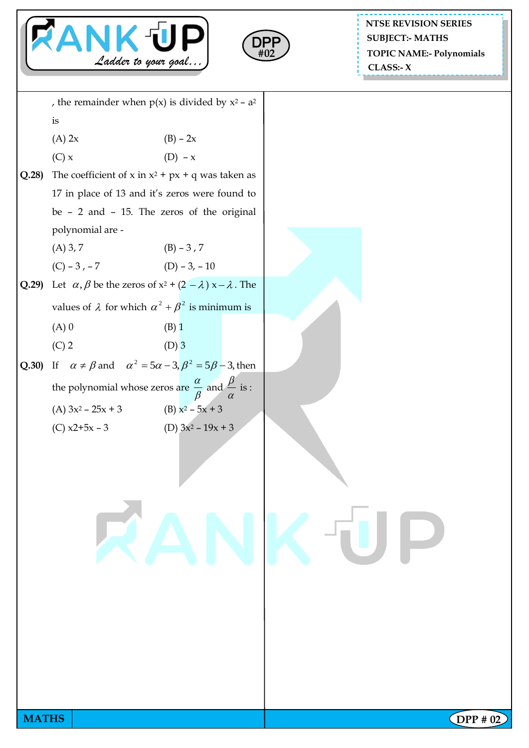



**NTSE REVISION SERIES TOPIC NAME:- Polynomials CLASS:- X SUBJECT:- MATHS**

**MATHS** | **DPP #** 02 , the remainder when  $p(x)$  is divided by  $x^2 - a^2$ is (A) 2x (B) – 2x (C)  $x$  (D) –  $x$ **Q.28)** The coefficient of x in  $x^2 + px + q$  was taken as 17 in place of 13 and it's zeros were found to be – 2 and – 15. The zeros of the original polynomial are - (A)  $3, 7$  (B) –  $3, 7$  $(C) - 3, -7$  (D) – 3, – 10 **Q.29**) Let  $\alpha$ ,  $\beta$  be the zeros of  $x^2 + (2 - \lambda)x - \lambda$ . The values of  $\lambda$  for which  $\alpha^2 + \beta^2$  is minimum is  $(A) 0$  (B) 1 (C) 2 (D) 3 **Q.30)** If  $\alpha \neq \beta$  and  $\alpha^2 = 5\alpha - 3$ ,  $\beta^2 = 5\beta - 3$ , then the polynomial whose zeros are  $\beta$  $\frac{\alpha}{\beta}$  and  $\frac{\beta}{\alpha}$  $\frac{\beta}{\cdot}$  is : (A)  $3x^2 - 25x + 3$  (B)  $x^2 - 5x + 3$ (C)  $x2+5x-3$  (D)  $3x^2-19x+3$